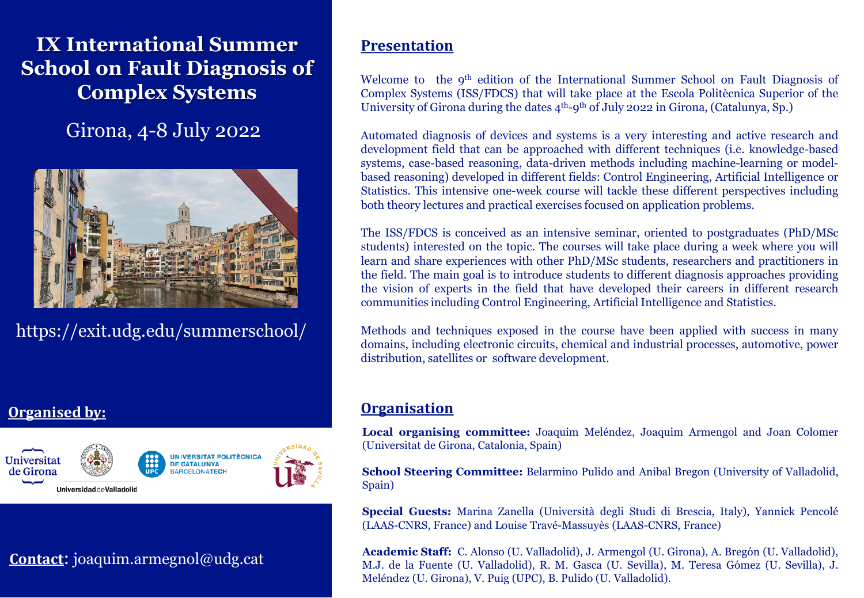# **IX International Summer School on Fault Diagnosis of Complex Systems**

Girona, 4-8 July 2022



https://exit.udg.edu/summerschool/

# **Organised by:**



# **Contact**: joaquim.armegnol@udg.cat

## **Presentation**

Welcome to the 9<sup>th</sup> edition of the International Summer School on Fault Diagnosis of Complex Systems (ISS/FDCS) that will take place at the Escola Politècnica Superior of the University of Girona during the dates  $4<sup>th</sup>$ -9<sup>th</sup> of July 2022 in Girona, (Catalunya, Sp.)

Automated diagnosis of devices and systems is a very interesting and active research and development field that can be approached with different techniques (i.e. knowledge-based systems, case-based reasoning, data-driven methods including machine-learning or modelbased reasoning) developed in different fields: Control Engineering, Artificial Intelligence or Statistics. This intensive one-week course will tackle these different perspectives including both theory lectures and practical exercises focused on application problems.

The ISS/FDCS is conceived as an intensive seminar, oriented to postgraduates (PhD/MSc students) interested on the topic. The courses will take place during a week where you will learn and share experiences with other PhD/MSc students, researchers and practitioners in the field. The main goal is to introduce students to different diagnosis approaches providing the vision of experts in the field that have developed their careers in different research communities including Control Engineering, Artificial Intelligence and Statistics.

Methods and techniques exposed in the course have been applied with success in many domains, including electronic circuits, chemical and industrial processes, automotive, power distribution, satellites or software development.

# **Organisation**

**Local organising committee:** Joaquim Meléndez, Joaquim Armengol and Joan Colomer (Universitat de Girona, Catalonia, Spain)

**School Steering Committee:** Belarmino Pulido and Anibal Bregon (University of Valladolid, Spain)

**Special Guests:** Marina Zanella (Università degli Studi di Brescia, Italy), Yannick Pencolé (LAAS-CNRS, France) and Louise Travé-Massuyès (LAAS-CNRS, France)

**Academic Staff:** C. Alonso (U. Valladolid), J. Armengol (U. Girona), A. Bregón (U. Valladolid), M.J. de la Fuente (U. Valladolid), R. M. Gasca (U. Sevilla), M. Teresa Gómez (U. Sevilla), J. Meléndez (U. Girona), V. Puig (UPC), B. Pulido (U. Valladolid).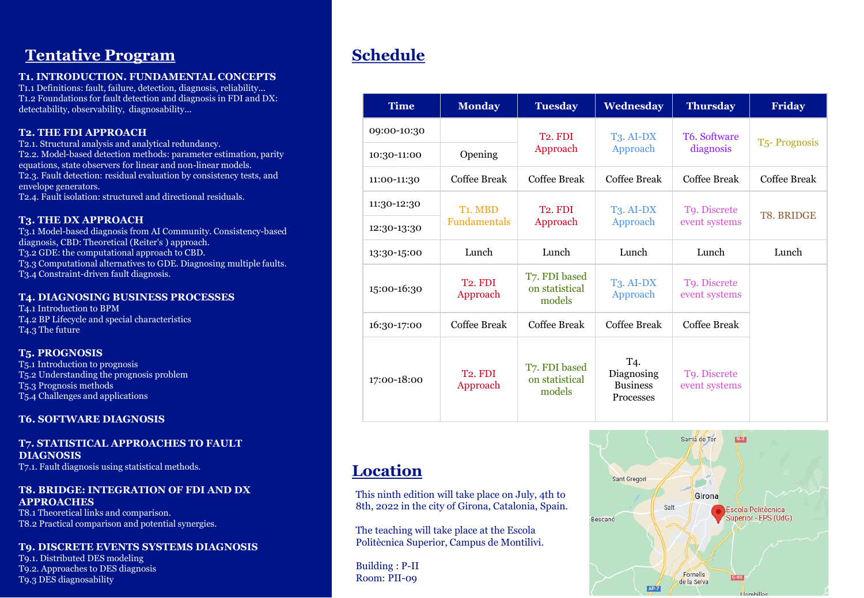# **Tentative Program Schedule**

#### **T1. INTRODUCTION. FUNDAMENTAL CONCEPTS**

T1.1 Definitions: fault, failure, detection, diagnosis, reliability... T1.2 Foundations for fault detection and diagnosis in FDI and DX: detectability, observability, diagnosability...

#### **T2. THE FDI APPROACH**

T2.1. Structural analysis and analytical redundancy. T2.2. Model-based detection methods: parameter estimation, parity equations, state observers for linear and non-linear models. T2.3. Fault detection: residual evaluation by consistency tests, and envelope generators. T2.4. Fault isolation: structured and directional residuals.

#### **T3. THE DX APPROACH**

T3.1 Model-based diagnosis from AI Community. Consistency-based diagnosis, CBD: Theoretical (Reiter's ) approach. T3.2 GDE: the computational approach to CBD. T3.3 Computational alternatives to GDE. Diagnosing multiple faults. T3.4 Constraint-driven fault diagnosis.

#### **T4. DIAGNOSING BUSINESS PROCESSES**

T4.1 Introduction to BPM T4.2 BP Lifecycle and special characteristics T4.3 The future

#### **T5. PROGNOSIS**

T5.1 Introduction to prognosis T5.2 Understanding the prognosis problem T5.3 Prognosis methods T5.4 Challenges and applications

#### **T6. SOFTWARE DIAGNOSIS**

## **T7. STATISTICAL APPROACHES TO FAULT DIAGNOSIS**

T7.1. Fault diagnosis using statistical methods.

#### **T8. BRIDGE: INTEGRATION OF FDI AND DX APPROACHES**

T8.1 Theoretical links and comparison. T8.2 Practical comparison and potential synergies.

## **T9. DISCRETE EVENTS SYSTEMS DIAGNOSIS**

T9.1. Distributed DES modeling T9.2. Approaches to DES diagnosis T9.3 DES diagnosability

| <b>Time</b> | <b>Monday</b>                        | <b>Tuesday</b>                            | Wednesday                                         | <b>Thursday</b>               | <b>Friday</b>             |
|-------------|--------------------------------------|-------------------------------------------|---------------------------------------------------|-------------------------------|---------------------------|
| 09:00-10:30 | Opening                              | T <sub>2</sub> . FDI                      | T <sub>3</sub> . AI-DX<br>Approach                | T6. Software<br>diagnosis     | T <sub>5</sub> -Prognosis |
| 10:30-11:00 |                                      | Approach                                  |                                                   |                               |                           |
| 11:00-11:30 | Coffee Break                         | Coffee Break                              | <b>Coffee Break</b>                               | Coffee Break                  | Coffee Break              |
| 11:30-12:30 | T <sub>1</sub> . MBD<br>Fundamentals | T <sub>2</sub> FDI<br>Approach            | $T_3$ . AI-DX<br>Approach                         | T9. Discrete<br>event systems | <b>T8. BRIDGE</b>         |
| 12:30-13:30 |                                      |                                           |                                                   |                               |                           |
| 13:30-15:00 | Lunch                                | Lunch                                     | Lunch                                             | Lunch                         | Lunch                     |
| 15:00-16:30 | T <sub>2</sub> . FDI<br>Approach     | T7. FDI based<br>on statistical<br>models | $T_3$ . AI-DX<br>Approach                         | T9. Discrete<br>event systems |                           |
| 16:30-17:00 | Coffee Break                         | Coffee Break                              | Coffee Break                                      | Coffee Break                  |                           |
| 17:00-18:00 | T <sub>2</sub> FDI<br>Approach       | T7. FDI based<br>on statistical<br>models | T4.<br>Diagnosing<br><b>Business</b><br>Processes | To. Discrete<br>event systems |                           |

# **Location**

This ninth edition will take place on July, 4th to 8th, 2022 in the city of Girona, Catalonia, Spain.

The teaching will take place at the Escola Politècnica Superior, Campus de Montilivi.

Building : P-II Room: PII-09